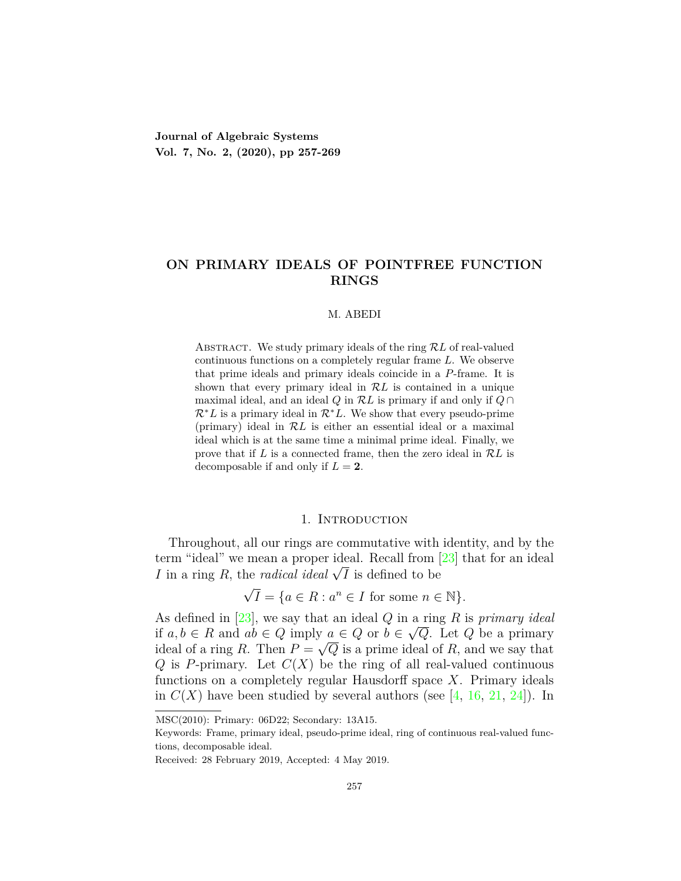**Journal of Algebraic Systems Vol. 7, No. 2, (2020), pp 257-269**

# **ON PRIMARY IDEALS OF POINTFREE FUNCTION RINGS**

#### M. ABEDI

ABSTRACT. We study primary ideals of the ring  $RL$  of real-valued continuous functions on a completely regular frame *L*. We observe that prime ideals and primary ideals coincide in a *P*-frame. It is shown that every primary ideal in *RL* is contained in a unique maximal ideal, and an ideal *Q* in *RL* is primary if and only if *Q ∩ R∗L* is a primary ideal in *R∗L*. We show that every pseudo-prime (primary) ideal in *RL* is either an essential ideal or a maximal ideal which is at the same time a minimal prime ideal. Finally, we prove that if *L* is a connected frame, then the zero ideal in *RL* is decomposable if and only if  $L = 2$ .

## 1. Introduction

Throughout, all our rings are commutative with identity, and by the term "ideal" we mean a proper ideal. Recall from [\[23](#page-12-0)] that for an ideal *I* in a ring *R*, the *radical ideal*  $\sqrt{I}$  is defined to be *√*

$$
\sqrt{I} = \{ a \in R : a^n \in I \text{ for some } n \in \mathbb{N} \}.
$$

As defined in [\[23](#page-12-0)], we say that an ideal  $Q$  in a ring  $R$  is *primary ideal if*  $a, b \in R$  and  $ab \in Q$  imply  $a \in Q$  or  $b \in \sqrt{Q}$ . Let  $Q$  be a primary ideal of a ring *R*. Then  $P = \sqrt{Q}$  is a prime ideal of *R*, and we say that *Q* is *P*-primary. Let  $C(X)$  be the ring of all real-valued continuous functions on a completely regular Hausdorff space *X*. Primary ideals in  $C(X)$  have been studied by several authors (see [\[4](#page-11-0), [16](#page-12-1), [21](#page-12-2), [24\]](#page-12-3)). In

MSC(2010): Primary: 06D22; Secondary: 13A15.

Keywords: Frame, primary ideal, pseudo-prime ideal, ring of continuous real-valued functions, decomposable ideal.

Received: 28 February 2019, Accepted: 4 May 2019.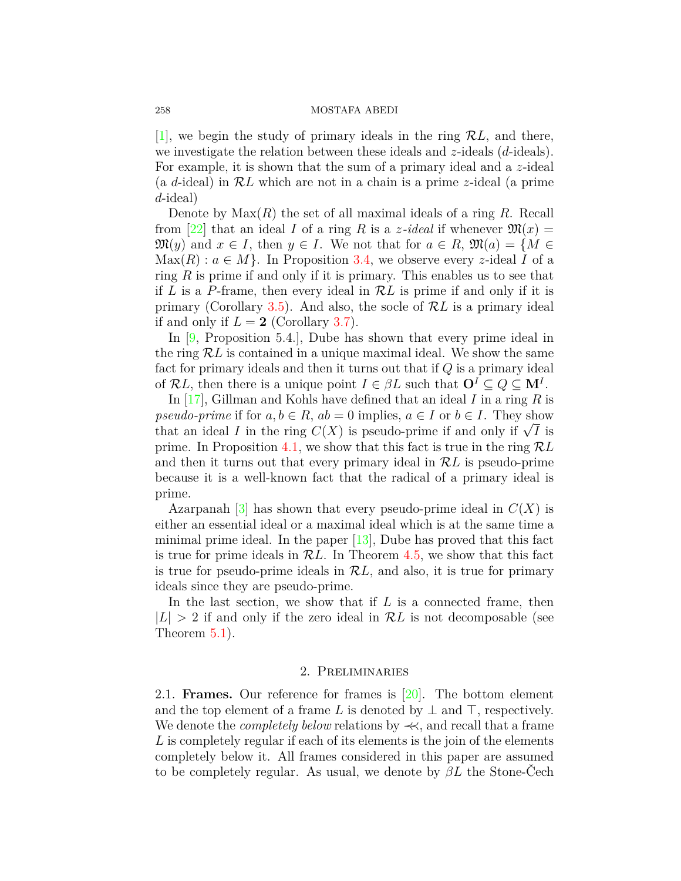#### 258 MOSTAFA ABEDI

[[1\]](#page-11-1), we begin the study of primary ideals in the ring  $\mathcal{R}L$ , and there, we investigate the relation between these ideals and *z*-ideals (*d*-ideals). For example, it is shown that the sum of a primary ideal and a *z*-ideal (a *d*-ideal) in *RL* which are not in a chain is a prime *z*-ideal (a prime *d*-ideal)

Denote by Max(*R*) the set of all maximal ideals of a ring *R*. Recall from [[22\]](#page-12-4) that an ideal *I* of a ring *R* is a *z*-ideal if whenever  $\mathfrak{M}(x) =$  $\mathfrak{M}(y)$  and  $x \in I$ , then  $y \in I$ . We not that for  $a \in R$ ,  $\mathfrak{M}(a) = \{M \in$  $Max(R): a \in M$ . In Proposition [3.4,](#page-4-0) we observe every *z*-ideal *I* of a ring *R* is prime if and only if it is primary. This enables us to see that if *L* is a *P*-frame, then every ideal in *RL* is prime if and only if it is primary (Corollary [3.5\)](#page-4-1). And also, the socle of *RL* is a primary ideal if and only if  $L = 2$  (Corollary [3.7\)](#page-4-2).

In [\[9,](#page-12-5) Proposition 5.4.], Dube has shown that every prime ideal in the ring *RL* is contained in a unique maximal ideal. We show the same fact for primary ideals and then it turns out that if *Q* is a primary ideal of  $\mathcal{R}L$ , then there is a unique point  $I \in \beta L$  such that  $\mathbf{O}^I \subseteq Q \subseteq \mathbf{M}^I$ .

In [[17](#page-12-6)], Gillman and Kohls have defined that an ideal *I* in a ring *R* is *pseudo-prime* if for  $a, b \in R$ ,  $ab = 0$  implies,  $a \in I$  or  $b \in I$ . They show  $pseudo-prime$  if for  $a, b \in R$ ,  $ab = 0$  implies,  $a \in I$  or  $b \in I$ . They show that an ideal *I* in the ring  $C(X)$  is pseudo-prime if and only if  $\sqrt{I}$  is prime. In Proposition [4.1](#page-6-0), we show that this fact is true in the ring *RL* and then it turns out that every primary ideal in *RL* is pseudo-prime because it is a well-known fact that the radical of a primary ideal is prime.

Azarpanah  $[3]$  $[3]$  $[3]$  has shown that every pseudo-prime ideal in  $C(X)$  is either an essential ideal or a maximal ideal which is at the same time a minimal prime ideal. In the paper [\[13\]](#page-12-7), Dube has proved that this fact is true for prime ideals in *RL*. In Theorem [4.5,](#page-8-0) we show that this fact is true for pseudo-prime ideals in *RL*, and also, it is true for primary ideals since they are pseudo-prime.

In the last section, we show that if *L* is a connected frame, then  $|L| > 2$  if and only if the zero ideal in  $\mathcal{R}L$  is not decomposable (see Theorem [5.1\)](#page-9-0).

## 2. Preliminaries

2.1. **Frames.** Our reference for frames is [\[20](#page-12-8)]. The bottom element and the top element of a frame *L* is denoted by  $\perp$  and  $\top$ , respectively. We denote the *completely below* relations by *≺≺*, and recall that a frame *L* is completely regular if each of its elements is the join of the elements completely below it. All frames considered in this paper are assumed to be completely regular. As usual, we denote by *βL* the Stone-Čech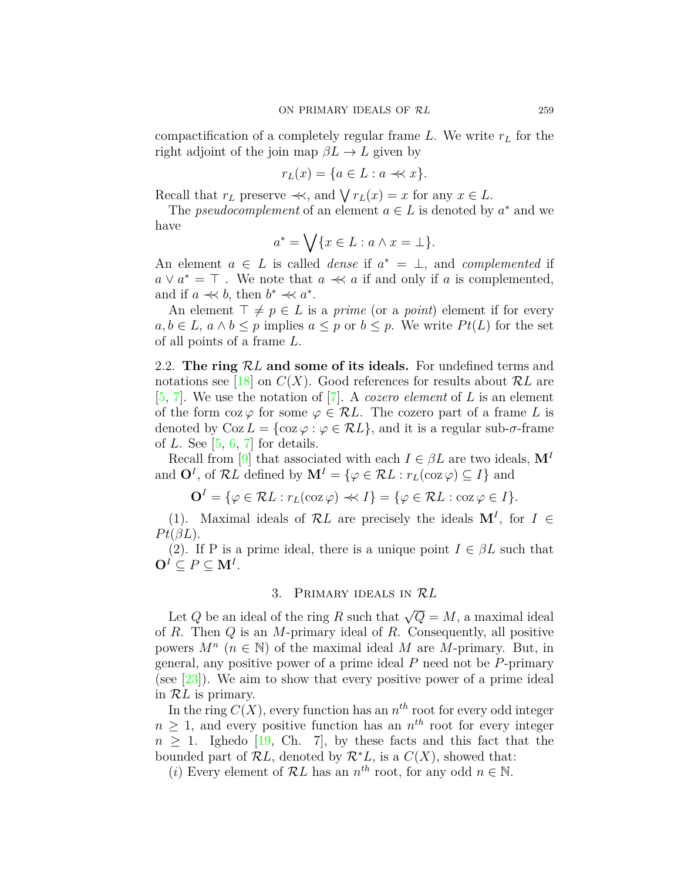compactification of a completely regular frame *L*. We write *r<sup>L</sup>* for the right adjoint of the join map  $\beta L \rightarrow L$  given by

$$
r_L(x) = \{ a \in L : a \prec x \}.
$$

Recall that  $r_L$  preserve  $\prec\!\prec$ , and  $\bigvee r_L(x) = x$  for any  $x \in L$ .

The *pseudocomplement* of an element  $a \in L$  is denoted by  $a^*$  and we have

$$
a^* = \bigvee \{ x \in L : a \wedge x = \bot \}.
$$

An element  $a \in L$  is called *dense* if  $a^* = \perp$ , and *complemented* if  $a \vee a^* = \top$ . We note that  $a \prec a$  if and only if *a* is complemented, and if  $a \ll b$ , then  $b^* \ll a^*$ .

An element  $\top \neq p \in L$  is a *prime* (or a *point*) element if for every  $a, b \in L$ ,  $a \wedge b \leq p$  implies  $a \leq p$  or  $b \leq p$ . We write  $Pt(L)$  for the set of all points of a frame *L*.

2.2. **The ring** *RL* **and some of its ideals.** For undefined terms and notations see [\[18\]](#page-12-9) on  $C(X)$ . Good references for results about  $\mathcal{R}L$  are [[5,](#page-11-3) [7\]](#page-12-10). We use the notation of [\[7\]](#page-12-10). A *cozero element* of *L* is an element of the form  $\cos \varphi$  for some  $\varphi \in \mathcal{R}L$ . The cozero part of a frame *L* is denoted by  $\text{Coz } L = \{\cos \varphi : \varphi \in \mathcal{R}L\}$ , and it is a regular sub- $\sigma$ -frame of *L*. See [\[5](#page-11-3), [6](#page-12-11), [7](#page-12-10)] for details.

Recall from [\[9](#page-12-5)] that associated with each  $I \in \beta L$  are two ideals,  $\mathbf{M}^I$ and  $\mathbf{O}^I$ , of  $\mathcal{R}L$  defined by  $\mathbf{M}^I = \{ \varphi \in \mathcal{R}L : r_L(\cos \varphi) \subseteq I \}$  and

$$
\mathbf{O}^I = \{ \varphi \in \mathcal{R}L : r_L(\cos \varphi) \prec l \} = \{ \varphi \in \mathcal{R}L : \cos \varphi \in I \}.
$$

(1). Maximal ideals of  $\mathcal{R}L$  are precisely the ideals  $\mathbf{M}^I$ , for  $I \in$  $Pt(\beta L)$ .

(2). If P is a prime ideal, there is a unique point  $I \in \beta L$  such that  $O^I \subseteq P \subseteq M^I$ .

## 3. Primary ideals in *RL*

Let *Q* be an ideal of the ring *R* such that  $\sqrt{Q} = M$ , a maximal ideal of *R*. Then *Q* is an *M*-primary ideal of *R*. Consequently, all positive powers  $M^n$  ( $n \in \mathbb{N}$ ) of the maximal ideal *M* are *M*-primary. But, in general, any positive power of a prime ideal *P* need not be *P*-primary (see  $[23]$ ). We aim to show that every positive power of a prime ideal in *RL* is primary.

In the ring  $C(X)$ , every function has an  $n<sup>th</sup>$  root for every odd integer  $n \geq 1$ , and every positive function has an  $n^{th}$  root for every integer  $n \geq 1$  $n \geq 1$  $n \geq 1$ . Ighedo [[19,](#page-12-12) Ch. 7], by these facts and this fact that the bounded part of  $\mathcal{R}L$ , denoted by  $\mathcal{R}^*L$ , is a  $C(X)$ , showed that:

(*i*) Every element of  $\mathcal{R}L$  has an  $n^{th}$  root, for any odd  $n \in \mathbb{N}$ .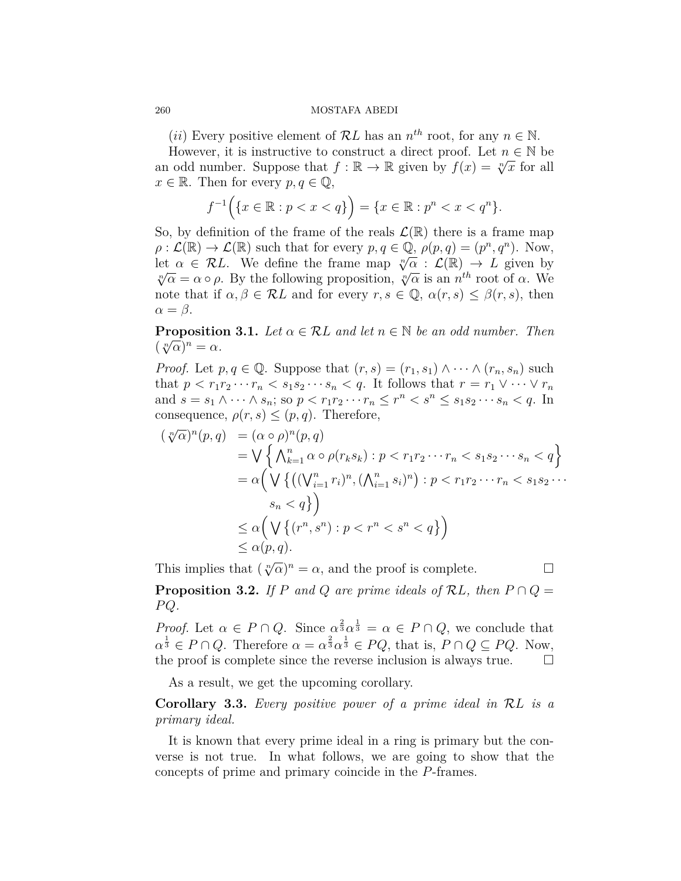#### 260 MOSTAFA ABEDI

(*ii*) Every positive element of  $\mathcal{R}L$  has an  $n^{th}$  root, for any  $n \in \mathbb{N}$ .

However, it is instructive to construct a direct proof. Let  $n \in \mathbb{N}$  be an odd number. Suppose that  $f : \mathbb{R} \to \mathbb{R}$  given by  $f(x) = \sqrt[n]{x}$  for all  $x \in \mathbb{R}$ . Then for every  $p, q \in \mathbb{Q}$ ,

$$
f^{-1}(\{x \in \mathbb{R} : p < x < q\}) = \{x \in \mathbb{R} : p^n < x < q^n\}.
$$

So, by definition of the frame of the reals  $\mathcal{L}(\mathbb{R})$  there is a frame map  $\rho: \mathcal{L}(\mathbb{R}) \to \mathcal{L}(\mathbb{R})$  such that for every  $p, q \in \mathbb{Q}, \rho(p,q) = (p^n, q^n)$ . Now, let  $\alpha \in \mathcal{R}L$ . We define the frame map  $\sqrt[n]{\alpha}$  :  $\mathcal{L}(\mathbb{R}) \to L$  given by  $\sqrt[n]{\alpha} = \alpha \circ \rho$ . By the following proposition,  $\sqrt[n]{\alpha}$  is an *n*<sup>th</sup> root of  $\alpha$ . We note that if  $\alpha, \beta \in \mathcal{R}L$  and for every  $r, s \in \mathbb{Q}$ ,  $\alpha(r, s) \leq \beta(r, s)$ , then  $\alpha = \beta$ .

**Proposition 3.1.** *Let*  $\alpha \in \mathcal{R}$ *L and let*  $n \in \mathbb{N}$  *be an odd number. Then*  $(\sqrt[n]{\alpha})^n = \alpha.$ 

*Proof.* Let  $p, q \in \mathbb{Q}$ . Suppose that  $(r, s) = (r_1, s_1) \wedge \cdots \wedge (r_n, s_n)$  such that  $p < r_1 r_2 \cdots r_n < s_1 s_2 \cdots s_n < q$ . It follows that  $r = r_1 \vee \cdots \vee r_n$ and  $s = s_1 \wedge \cdots \wedge s_n$ ; so  $p < r_1 r_2 \cdots r_n \leq r^n < s^n \leq s_1 s_2 \cdots s_n < q$ . In consequence,  $\rho(r, s) \leq (p, q)$ . Therefore,

$$
(\sqrt[n]{\alpha})^n(p,q) = (\alpha \circ \rho)^n(p,q)
$$
  
\n
$$
= \bigvee \left\{ \bigwedge_{k=1}^n \alpha \circ \rho(r_k s_k) : p < r_1 r_2 \cdots r_n < s_1 s_2 \cdots s_n < q \right\}
$$
  
\n
$$
= \alpha \Big( \bigvee \left\{ \big( (\bigvee_{i=1}^n r_i)^n, (\bigwedge_{i=1}^n s_i)^n \big) : p < r_1 r_2 \cdots r_n < s_1 s_2 \cdots s_n < q \right\} \Big)
$$
  
\n
$$
\leq \alpha \Big( \bigvee \left\{ (r^n, s^n) : p < r^n < s^n < q \right\} \Big)
$$
  
\n
$$
\leq \alpha(p, q).
$$

This implies that  $(\sqrt[n]{\alpha})^n = \alpha$ , and the proof is complete. □ **Proposition 3.2.** *If P and Q are prime ideals of*  $RL$ *, then*  $P \cap Q =$ *P Q.*

*Proof.* Let  $\alpha \in P \cap Q$ . Since  $\alpha^{\frac{2}{3}} \alpha^{\frac{1}{3}} = \alpha \in P \cap Q$ , we conclude that  $\alpha^{\frac{1}{3}} \in P \cap Q$ . Therefore  $\alpha = \alpha^{\frac{2}{3}} \alpha^{\frac{1}{3}} \in PQ$ , that is,  $P \cap Q \subseteq PQ$ . Now, the proof is complete since the reverse inclusion is always true.  $\Box$ 

As a result, we get the upcoming corollary.

**Corollary 3.3.** *Every positive power of a prime ideal in RL is a primary ideal.*

It is known that every prime ideal in a ring is primary but the converse is not true. In what follows, we are going to show that the concepts of prime and primary coincide in the *P*-frames.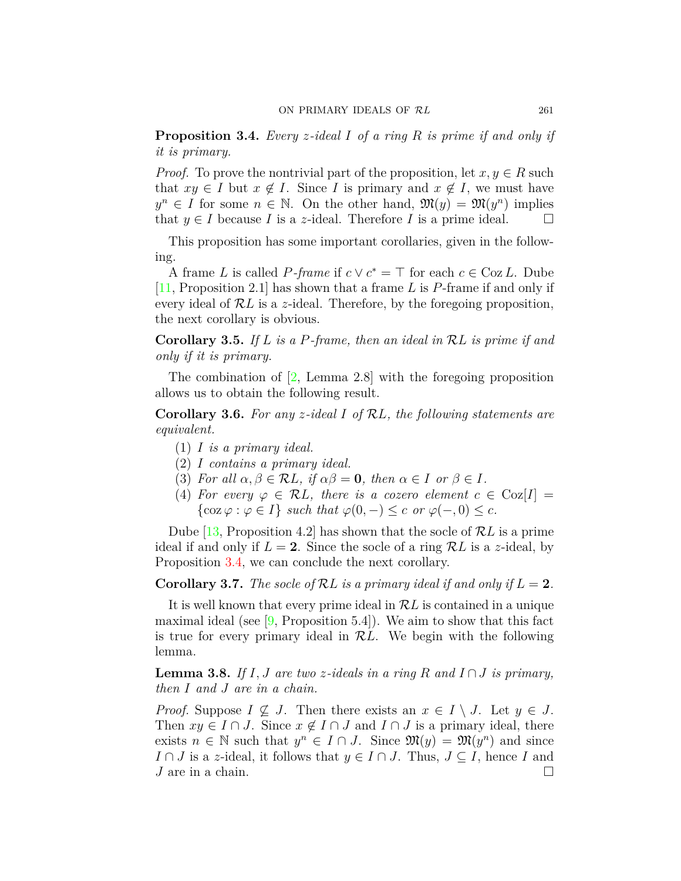<span id="page-4-0"></span>**Proposition 3.4.** *Every z-ideal I of a ring R is prime if and only if it is primary.*

*Proof.* To prove the nontrivial part of the proposition, let  $x, y \in R$  such that  $xy \in I$  but  $x \notin I$ . Since *I* is primary and  $x \notin I$ , we must have  $y^n \in I$  for some  $n \in \mathbb{N}$ . On the other hand,  $\mathfrak{M}(y) = \mathfrak{M}(y^n)$  implies that  $y \in I$  because *I* is a *z*-ideal. Therefore *I* is a prime ideal.  $\Box$ 

This proposition has some important corollaries, given in the following.

A frame *L* is called *P-frame* if  $c \vee c^* = \top$  for each  $c \in \text{Coz } L$ . Dube [[11](#page-12-13), Proposition 2.1] has shown that a frame *L* is *P*-frame if and only if every ideal of *RL* is a *z*-ideal. Therefore, by the foregoing proposition, the next corollary is obvious.

<span id="page-4-1"></span>**Corollary 3.5.** *If L is a P-frame, then an ideal in RL is prime if and only if it is primary.*

The combination of [\[2](#page-11-4), Lemma 2.8] with the foregoing proposition allows us to obtain the following result.

<span id="page-4-3"></span>**Corollary 3.6.** *For any z-ideal I of RL, the following statements are equivalent.*

- (1) *I is a primary ideal.*
- (2) *I contains a primary ideal.*
- (3) *For all*  $\alpha, \beta \in \mathcal{R}L$ , if  $\alpha\beta = 0$ , then  $\alpha \in I$  or  $\beta \in I$ .
- (4) *For every*  $\varphi \in \mathcal{R}L$ *, there is a cozero element*  $c \in \text{Coz}[I] =$  $\{\cos \varphi : \varphi \in I\}$  *such that*  $\varphi(0, -) \leq c$  *or*  $\varphi(-, 0) \leq c$ *.*

Dube [\[13](#page-12-7), Proposition 4.2] has shown that the socle of *RL* is a prime ideal if and only if  $L = 2$ . Since the socle of a ring  $\mathcal{R}L$  is a *z*-ideal, by Proposition [3.4](#page-4-0), we can conclude the next corollary.

<span id="page-4-2"></span>**Corollary 3.7.** The socle of RL is a primary ideal if and only if  $L = 2$ .

It is well known that every prime ideal in *RL* is contained in a unique maximal ideal (see  $[9,$  $[9,$  Proposition 5.4]). We aim to show that this fact is true for every primary ideal in *RL*. We begin with the following lemma.

**Lemma 3.8.** *If*  $I, J$  *are two z*-ideals in a ring  $R$  and  $I \cap J$  is primary, *then I and J are in a chain.*

*Proof.* Suppose  $I \nsubseteq J$ . Then there exists an  $x \in I \setminus J$ . Let  $y \in J$ . Then  $xy \in I \cap J$ . Since  $x \notin I \cap J$  and  $I \cap J$  is a primary ideal, there exists  $n \in \mathbb{N}$  such that  $y^n \in I \cap J$ . Since  $\mathfrak{M}(y) = \mathfrak{M}(y^n)$  and since *I* ∩ *J* is a *z*-ideal, it follows that  $y \in I \cap J$ . Thus,  $J \subseteq I$ , hence *I* and *J* are in a chain.  $\Box$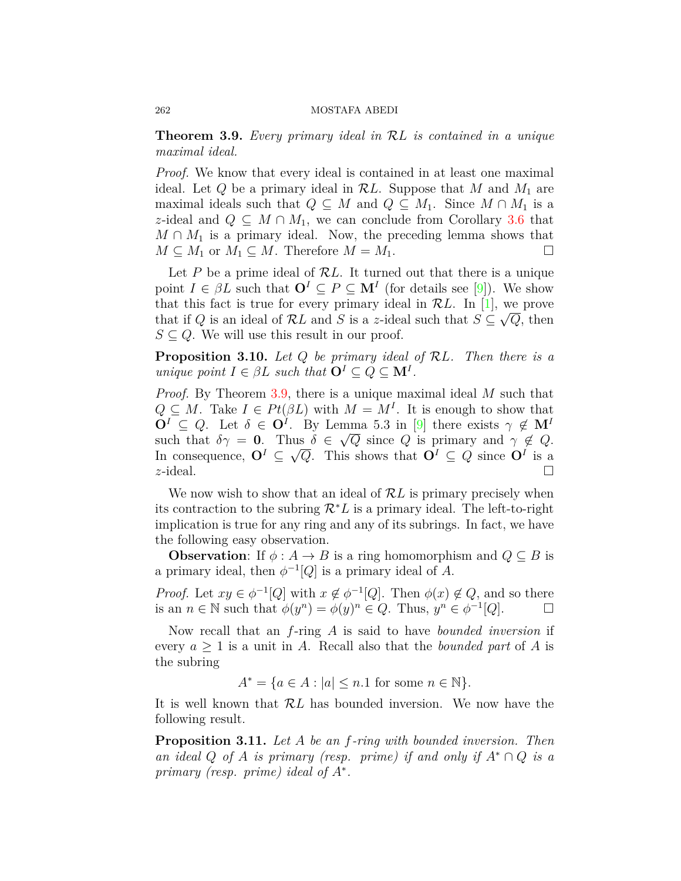<span id="page-5-0"></span>**Theorem 3.9.** *Every primary ideal in RL is contained in a unique maximal ideal.*

*Proof.* We know that every ideal is contained in at least one maximal ideal. Let  $Q$  be a primary ideal in  $RL$ . Suppose that  $M$  and  $M_1$  are maximal ideals such that  $Q \subseteq M$  and  $Q \subseteq M_1$ . Since  $M \cap M_1$  is a *z*-ideal and  $Q \subseteq M \cap M_1$ , we can conclude from Corollary [3.6](#page-4-3) that  $M \cap M_1$  is a primary ideal. Now, the preceding lemma shows that  $M \subseteq M_1$  or  $M_1 \subseteq M$ . Therefore  $M = M_1$ .

Let *P* be a prime ideal of *RL*. It turned out that there is a unique point $I \in \beta L$  such that  $\mathbf{O}^I \subseteq P \subseteq \mathbf{M}^I$  (for details see [[9\]](#page-12-5)). We show that this fact is true for every primary ideal in  $\mathcal{R}L$ . In [[1](#page-11-1)], we prove that if  $Q$  is an ideal of  $\mathcal{R}L$  and  $S$  is a *z*-ideal such that  $S \subseteq \sqrt{Q}$ , then  $S \subseteq Q$ . We will use this result in our proof.

**Proposition 3.10.** *Let Q be primary ideal of RL. Then there is a unique point*  $I \in \beta L$  *such that*  $\mathbf{O}^I \subseteq Q \subseteq \mathbf{M}^I$ .

*Proof.* By Theorem [3.9,](#page-5-0) there is a unique maximal ideal *M* such that  $Q \subseteq M$ . Take  $I \in Pt(\beta L)$  with  $M = M^I$ . It is enough to show that  $\mathbf{O}^I \subseteq Q$ . Let  $\delta \in \mathbf{O}^I$ . By Lemma 5.3 in [[9\]](#page-12-5) there exists  $\gamma \notin \mathbf{M}^I$ such that  $\delta \gamma = 0$ . Thus  $\delta \in \sqrt{Q}$  since *Q* is primary and  $\gamma \notin Q$ . In consequence,  $O^I \subseteq \sqrt{Q}$ . This shows that  $O^I \subseteq Q$  since  $O^I$  is a *z*-ideal.  $\Box$ 

We now wish to show that an ideal of *RL* is primary precisely when its contraction to the subring *R∗L* is a primary ideal. The left-to-right implication is true for any ring and any of its subrings. In fact, we have the following easy observation.

**Observation**: If  $\phi : A \to B$  is a ring homomorphism and  $Q \subseteq B$  is a primary ideal, then  $\phi^{-1}[Q]$  is a primary ideal of *A*.

*Proof.* Let  $xy \in \phi^{-1}[Q]$  with  $x \notin \phi^{-1}[Q]$ . Then  $\phi(x) \notin Q$ , and so there is an  $n \in \mathbb{N}$  such that  $\phi(y^n) = \phi(y)^n \in Q$ . Thus,  $y^n \in \phi^{-1}[Q]$ . □

Now recall that an *f*-ring *A* is said to have *bounded inversion* if every  $a \geq 1$  is a unit in A. Recall also that the *bounded part* of A is the subring

 $A^* = \{a \in A : |a| \leq n.1 \text{ for some } n \in \mathbb{N}\}.$ 

It is well known that *RL* has bounded inversion. We now have the following result.

**Proposition 3.11.** *Let A be an f-ring with bounded inversion. Then an ideal*  $Q$  *of*  $A$  *is primary (resp. prime) if and only if*  $A^* \cap Q$  *is a primary (resp. prime) ideal of A<sup>∗</sup> .*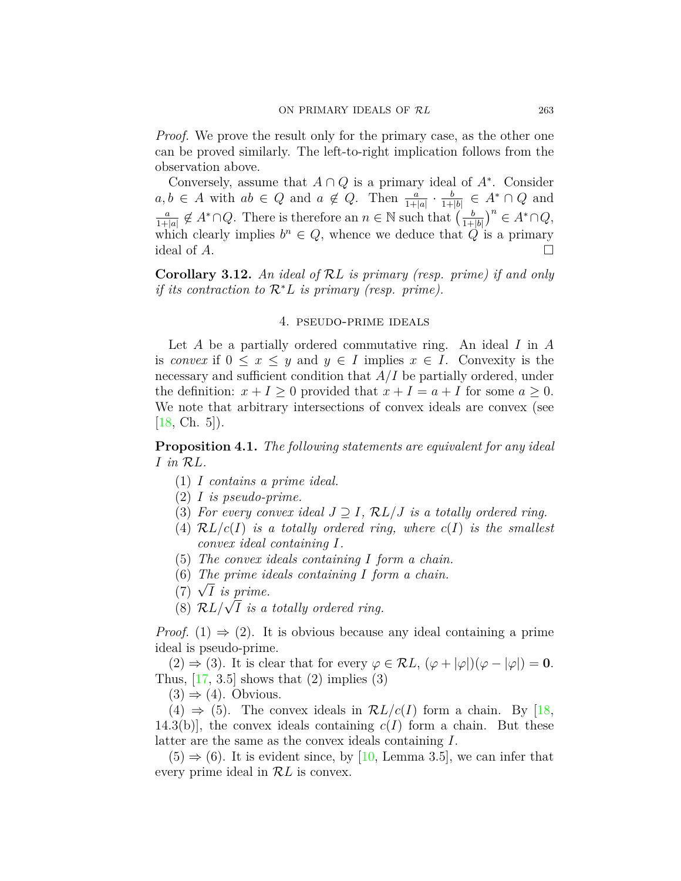*Proof.* We prove the result only for the primary case, as the other one can be proved similarly. The left-to-right implication follows from the observation above.

Conversely, assume that  $A \cap Q$  is a primary ideal of  $A^*$ . Consider  $a, b \in A$  with  $ab \in Q$  and  $a \notin Q$ . Then  $\frac{a}{1+|a|} \cdot \frac{b}{1+}$  $\frac{b}{1+|b|} \in A^* \cap Q$  and *a*  $\frac{a}{1+|a|} \notin A^* \cap Q$ . There is therefore an  $n \in \mathbb{N}$  such that  $\left(\frac{b}{1+}\right)$ 1+*|b|* )*n ∈ A∗∩Q*, which clearly implies  $b^n \in Q$ , whence we deduce that  $Q$  is a primary ideal of  $A$ .

<span id="page-6-1"></span>**Corollary 3.12.** *An ideal of RL is primary (resp. prime) if and only if its contraction to R∗L is primary (resp. prime).*

#### 4. pseudo-prime ideals

Let *A* be a partially ordered commutative ring. An ideal *I* in *A* is *convex* if  $0 \leq x \leq y$  and  $y \in I$  implies  $x \in I$ . Convexity is the necessary and sufficient condition that *A/I* be partially ordered, under the definition:  $x + I \geq 0$  provided that  $x + I = a + I$  for some  $a \geq 0$ . We note that arbitrary intersections of convex ideals are convex (see [[18](#page-12-9), Ch. 5]).

<span id="page-6-0"></span>**Proposition 4.1.** *The following statements are equivalent for any ideal I in RL.*

- (1) *I contains a prime ideal.*
- (2) *I is pseudo-prime.*
- (3) For every convex ideal  $J \supset I$ ,  $\mathcal{R}L/J$  is a totally ordered ring.
- (4)  $\mathcal{R}L/c(I)$  *is a totally ordered ring, where*  $c(I)$  *is the smallest convex ideal containing I.*
- (5) *The convex ideals containing I form a chain.*
- (6) *The prime ideals containing I form a chain.*
- (0) *Ine prime id*<br>(7)  $\sqrt{I}$  *is prime.*
- $(8)$   $\mathcal{R}L/\sqrt{I}$  *is a totally ordered ring.*

*Proof.* (1)  $\Rightarrow$  (2). It is obvious because any ideal containing a prime ideal is pseudo-prime.

 $(2) \Rightarrow (3)$ . It is clear that for every  $\varphi \in \mathcal{R}L$ ,  $(\varphi + |\varphi|)(\varphi - |\varphi|) = 0$ . Thus,  $[17, 3.5]$  $[17, 3.5]$  $[17, 3.5]$  shows that  $(2)$  implies  $(3)$ 

 $(3) \Rightarrow (4)$ . Obvious.

 $(4) \Rightarrow (5)$ . The convex ideals in  $\mathcal{R}L/c(I)$  form a chain. By [\[18,](#page-12-9) 14.3(b), the convex ideals containing  $c(I)$  form a chain. But these latter are the same as the convex ideals containing *I*.

 $(5) \Rightarrow (6)$ . It is evident since, by [\[10,](#page-12-14) Lemma 3.5], we can infer that every prime ideal in *RL* is convex.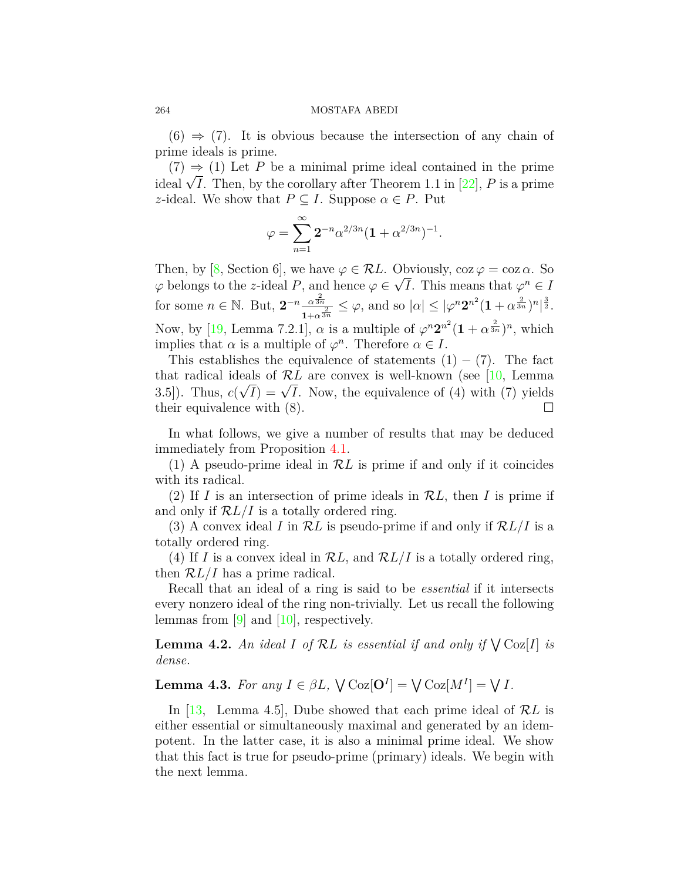$(6) \Rightarrow (7)$ . It is obvious because the intersection of any chain of prime ideals is prime.

 $(7) \Rightarrow (1)$  Let P be a minimal prime ideal contained in the prime  $i(t) \Rightarrow (1)$  Let *F* be a minimal prime ideal contained in the prime ideal  $\sqrt{I}$ . Then, by the corollary after Theorem 1.1 in [[22](#page-12-4)], *P* is a prime *z*-ideal. We show that  $P \subseteq I$ . Suppose  $\alpha \in P$ . Put

$$
\varphi = \sum_{n=1}^{\infty} 2^{-n} \alpha^{2/3n} (1 + \alpha^{2/3n})^{-1}.
$$

Then, by [\[8,](#page-12-15) Section 6], we have  $\varphi \in \mathcal{R}L$ . Obviously,  $\cos \varphi = \cos \alpha$ . So *φ* belongs to the *z*-ideal *P*, and hence  $\varphi \in$ *√ I*. This means that  $\varphi^n \in I$ for some  $n \in \mathbb{N}$ . But,  $2^{-n} \frac{\alpha^{\frac{2}{3n}}}{1+\alpha^{\frac{2}{3}}}$  $\frac{\alpha^{\frac{s}{3n}}}{1+\alpha^{\frac{2}{3n}}} \leq \varphi$ , and so  $|\alpha| \leq |\varphi^n 2^{n^2} (1+\alpha^{\frac{2}{3n}})^n|^{\frac{3}{2}}$ . Now, by [\[19,](#page-12-12) Lemma 7.2.1],  $\alpha$  is a multiple of  $\varphi^n 2^{n^2} (1 + \alpha^{\frac{2}{3n}})^n$ , which implies that  $\alpha$  is a multiple of  $\varphi^n$ . Therefore  $\alpha \in I$ .

This establishes the equivalence of statements  $(1) - (7)$ . The fact thatradical ideals of  $\mathcal{R}L$  are convex is well-known (see [[10,](#page-12-14) Lemma  $3.5$ ). Thus,  $c(\sqrt{I}) = \sqrt{I}$ . Now, the equivalence of (4) with (7) yields their equivalence with  $(8)$ . □

In what follows, we give a number of results that may be deduced immediately from Proposition [4.1.](#page-6-0)

(1) A pseudo-prime ideal in *RL* is prime if and only if it coincides with its radical.

(2) If *I* is an intersection of prime ideals in *RL*, then *I* is prime if and only if *RL/I* is a totally ordered ring.

(3) A convex ideal *I* in *RL* is pseudo-prime if and only if *RL/I* is a totally ordered ring.

(4) If *I* is a convex ideal in *RL*, and *RL/I* is a totally ordered ring, then *RL/I* has a prime radical.

Recall that an ideal of a ring is said to be *essential* if it intersects every nonzero ideal of the ring non-trivially. Let us recall the following lemmas from  $[9]$  $[9]$  and  $[10]$  $[10]$  $[10]$ , respectively.

**Lemma 4.2.** An ideal *I* of  $\mathcal{R}L$  is essential if and only if  $\bigvee \text{Coz}[I]$  is *dense.*

<span id="page-7-0"></span>**Lemma 4.3.** *For any*  $I \in \beta L$ ,  $\bigvee$  Coz $[$ **O**<sup>*I*</sup> $] = \bigvee$  Coz $[M^I] = \bigvee I$ *.* 

In [\[13,](#page-12-7) Lemma 4.5], Dube showed that each prime ideal of *RL* is either essential or simultaneously maximal and generated by an idempotent. In the latter case, it is also a minimal prime ideal. We show that this fact is true for pseudo-prime (primary) ideals. We begin with the next lemma.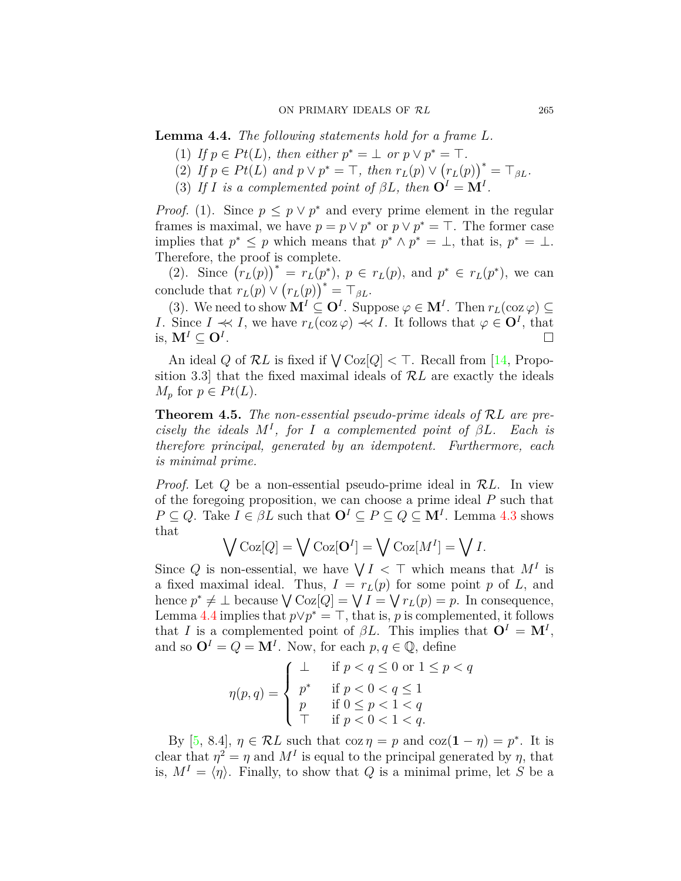<span id="page-8-1"></span>**Lemma 4.4.** *The following statements hold for a frame L.*

- $(1)$  *If*  $p \in Pt(L)$ *, then either*  $p^* = \perp$  *or*  $p \vee p^* = \top$ *.*
- (2) If  $p \in Pt(L)$  and  $p \vee p^* = \top$ , then  $r_L(p) \vee (r_L(p))^* = \top_{\beta L}$ .
- (3) *If I is a complemented point of*  $\beta L$ *, then*  $\mathbf{O}^I = \mathbf{M}^I$ *.*

*Proof.* (1). Since  $p \leq p \vee p^*$  and every prime element in the regular frames is maximal, we have  $p = p \lor p^*$  or  $p \lor p^* = \top$ . The former case implies that  $p^* \leq p$  which means that  $p^* \wedge p^* = \perp$ , that is,  $p^* = \perp$ . Therefore, the proof is complete.

(2). Since  $(r_L(p))^* = r_L(p^*)$ ,  $p \in r_L(p)$ , and  $p^* \in r_L(p^*)$ , we can conclude that  $r_L(p) \vee (r_L(p))^* = \top_{\beta L}$ .

(3). We need to show  $\mathbf{M}^I \subseteq \mathbf{O}^I$ . Suppose  $\varphi \in \mathbf{M}^I$ . Then  $r_L(\cos \varphi) \subseteq$ *I*. Since  $I \ll I$ , we have  $r_L(\cos \varphi) \ll I$ . It follows that  $\varphi \in \mathbf{O}^I$ , that is,  $M^I \subset \mathbb{O}^I$ . . □

An ideal *Q* of  $\mathcal{R}L$  is fixed if  $\bigvee \text{Coz}[Q] < \top$ . Recall from [\[14](#page-12-16), Proposition 3.3] that the fixed maximal ideals of *RL* are exactly the ideals *M<sub>p</sub>* for  $p \in Pt(L)$ .

<span id="page-8-0"></span>**Theorem 4.5.** *The non-essential pseudo-prime ideals of RL are precisely the ideals*  $M^I$ , for *I a complemented point of*  $\beta L$ *. Each is therefore principal, generated by an idempotent. Furthermore, each is minimal prime.*

*Proof.* Let *Q* be a non-essential pseudo-prime ideal in *RL*. In view of the foregoing proposition, we can choose a prime ideal *P* such that  $P \subseteq Q$ . Take  $I \in \beta L$  such that  $\mathbf{O}^I \subseteq P \subseteq Q \subseteq \mathbf{M}^I$ . Lemma [4.3](#page-7-0) shows that

$$
\bigvee \mathrm{Coz}[Q] = \bigvee \mathrm{Coz}[\mathbf{O}^I] = \bigvee \mathrm{Coz}[M^I] = \bigvee I.
$$

Since Q is non-essential, we have  $\bigvee I \subset \top$  which means that  $M^I$  is a fixed maximal ideal. Thus,  $I = r_L(p)$  for some point p of L, and hence  $p^* \neq \bot$  because  $\bigvee \text{Coz}[Q] = \bigvee I = \bigvee r_L(p) = p$ . In consequence, Lemma [4.4](#page-8-1) implies that  $p \lor p^* = \top$ , that is, *p* is complemented, it follows that *I* is a complemented point of  $\beta L$ . This implies that  $\mathbf{O}^I = \mathbf{M}^I$ , and so  $\mathbf{O}^I = Q = \mathbf{M}^I$ . Now, for each  $p, q \in \mathbb{Q}$ , define

$$
\eta(p,q) = \begin{cases} \bot & \text{if } p < q \le 0 \text{ or } 1 \le p < q \\ p^* & \text{if } p < 0 < q \le 1 \\ p & \text{if } 0 \le p < 1 < q \\ \top & \text{if } p < 0 < 1 < q. \end{cases}
$$

By  $[5, 8.4], \eta \in \mathcal{R}$  $[5, 8.4], \eta \in \mathcal{R}$  $[5, 8.4], \eta \in \mathcal{R}$ *L* such that  $\cos \eta = p$  and  $\cos(1 - \eta) = p^*$ . It is clear that  $\eta^2 = \eta$  and  $M^I$  is equal to the principal generated by  $\eta$ , that is,  $M^I = \langle \eta \rangle$ . Finally, to show that *Q* is a minimal prime, let *S* be a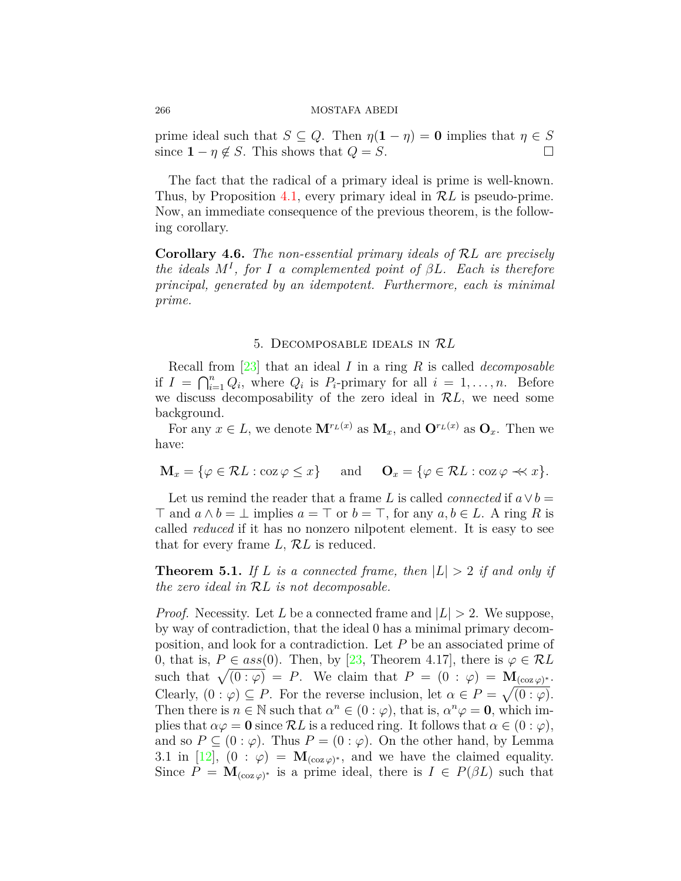prime ideal such that  $S \subseteq Q$ . Then  $\eta(1 - \eta) = 0$  implies that  $\eta \in S$ since  $1 - \eta \notin S$ . This shows that  $Q = S$ . □

The fact that the radical of a primary ideal is prime is well-known. Thus, by Proposition [4.1](#page-6-0), every primary ideal in *RL* is pseudo-prime. Now, an immediate consequence of the previous theorem, is the following corollary.

**Corollary 4.6.** *The non-essential primary ideals of RL are precisely the ideals M<sup>I</sup> , for I a complemented point of βL. Each is therefore principal, generated by an idempotent. Furthermore, each is minimal prime.*

## 5. Decomposable ideals in *RL*

Recall from [\[23\]](#page-12-0) that an ideal *I* in a ring *R* is called *decomposable* if  $I = \bigcap_{i=1}^n Q_i$ , where  $Q_i$  is  $P_i$ -primary for all  $i = 1, \ldots, n$ . Before we discuss decomposability of the zero ideal in *RL*, we need some background.

For any  $x \in L$ , we denote  $\mathbf{M}^{r}(x)$  as  $\mathbf{M}_x$ , and  $\mathbf{O}^{r}(x)$  as  $\mathbf{O}_x$ . Then we have:

$$
\mathbf{M}_x = \{ \varphi \in \mathcal{R}L : \cos \varphi \le x \} \quad \text{and} \quad \mathbf{O}_x = \{ \varphi \in \mathcal{R}L : \cos \varphi \prec x \}.
$$

Let us remind the reader that a frame *L* is called *connected* if  $a \vee b =$ *⊤* and *a ∧ b* = *⊥* implies *a* = *⊤* or *b* = *⊤*, for any *a, b ∈ L*. A ring *R* is called *reduced* if it has no nonzero nilpotent element. It is easy to see that for every frame *L*, *RL* is reduced.

<span id="page-9-0"></span>**Theorem 5.1.** If L is a connected frame, then  $|L| > 2$  if and only if *the zero ideal in RL is not decomposable.*

*Proof.* Necessity. Let *L* be a connected frame and  $|L| > 2$ . We suppose, by way of contradiction, that the ideal 0 has a minimal primary decomposition, and look for a contradiction. Let *P* be an associated prime of 0, that is,  $P \in ass(0)$ . Then, by [\[23,](#page-12-0) Theorem 4.17], there is  $\varphi \in \mathcal{R}L$ such that  $\sqrt{(0:\varphi)} = P$ . We claim that  $P = (0:\varphi) = \mathbf{M}_{(\cos \varphi)^*}$ . Clearly,  $(0 : \varphi) \subseteq P$ . For the reverse inclusion, let  $\alpha \in P = \sqrt{(0 : \varphi)}$ . Then there is  $n \in \mathbb{N}$  such that  $\alpha^n \in (0 : \varphi)$ , that is,  $\alpha^n \varphi = 0$ , which implies that  $\alpha \varphi = 0$  since  $\mathcal{R}L$  is a reduced ring. It follows that  $\alpha \in (0 : \varphi)$ , and so  $P \subseteq (0 : \varphi)$ . Thus  $P = (0 : \varphi)$ . On the other hand, by Lemma 3.1 in [[12\]](#page-12-17),  $(0 : \varphi) = \mathbf{M}_{(\cos \varphi)^*}$ , and we have the claimed equality. Since  $P = \mathbf{M}_{(\cos \varphi)^*}$  is a prime ideal, there is  $I \in P(\beta L)$  such that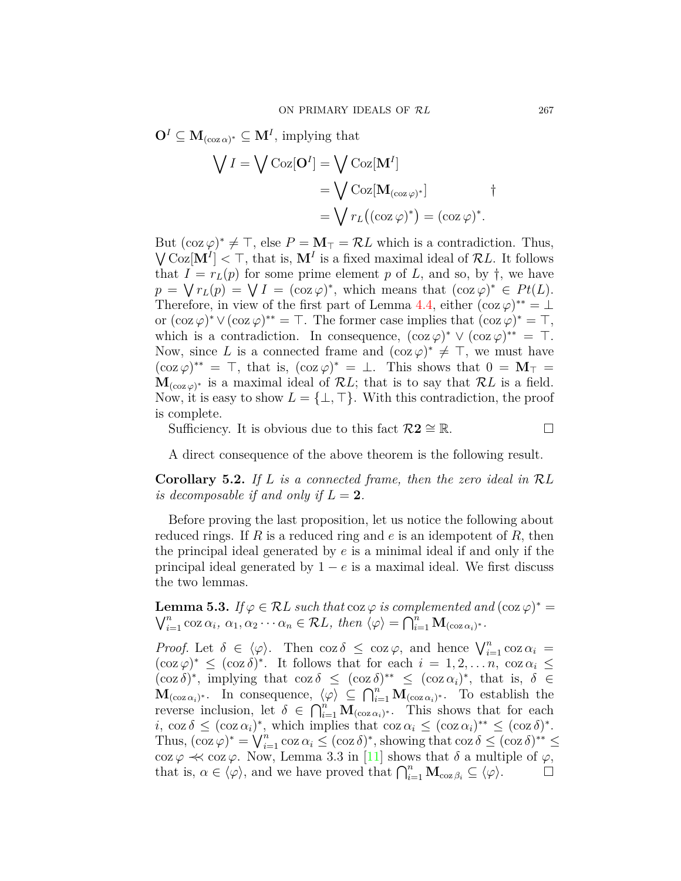$\mathbf{O}^I \subseteq \mathbf{M}_{(\cos \alpha)^*} \subseteq \mathbf{M}^I$ , implying that

$$
\begin{aligned} \bigvee I &= \bigvee \text{Coz}[\mathbf{O}^I] = \bigvee \text{Coz}[\mathbf{M}^I] \\ &= \bigvee \text{Coz}[\mathbf{M}_{(\text{coz}\,\varphi)^*}] \\ &= \bigvee r_L((\text{coz}\,\varphi)^*) = (\text{coz}\,\varphi)^*. \end{aligned} \qquad \dagger
$$

But  $(\cos \varphi)^* \neq \top$ , else  $P = \mathbf{M}_{\top} = \mathcal{R}L$  which is a contradiction. Thus,  $\sqrt{\text{Coz}[\mathbf{M}^I]} < \top$ , that is,  $\mathbf{M}^I$  is a fixed maximal ideal of  $\mathcal{R}L$ . It follows that  $I = r<sub>L</sub>(p)$  for some prime element p of L, and so, by  $\dagger$ , we have  $p = \sqrt{r_L(p)} = \sqrt{I} = (\cos \varphi)^*$ , which means that  $(\cos \varphi)^* \in Pt(L)$ . Therefore, in view of the first part of Lemma [4.4,](#page-8-1) either  $(\cos \varphi)^{**} = \bot$ or  $(\cos \varphi)^* \vee (\cos \varphi)^* = \top$ . The former case implies that  $(\cos \varphi)^* = \top$ , which is a contradiction. In consequence,  $(\cos \varphi)^* \vee (\cos \varphi)^{**} = \top$ . Now, since L is a connected frame and  $(\cos \varphi)^* \neq \top$ , we must have  $(\cos \varphi)^{**} = \top$ , that is,  $(\cos \varphi)^{*} = \bot$ . This shows that  $0 = \mathbf{M}_{\top} =$  $\mathbf{M}_{(\cos \varphi)^*}$  is a maximal ideal of  $\mathcal{R}L$ ; that is to say that  $\mathcal{R}L$  is a field. Now, it is easy to show  $L = \{\perp, \top\}$ . With this contradiction, the proof is complete.

Sufficiency. It is obvious due to this fact  $\mathcal{R}2 \cong \mathbb{R}$ . □

A direct consequence of the above theorem is the following result.

**Corollary 5.2.** *If L is a connected frame, then the zero ideal in RL is decomposable if and only if*  $L = 2$ *.* 

Before proving the last proposition, let us notice the following about reduced rings. If *R* is a reduced ring and *e* is an idempotent of *R*, then the principal ideal generated by *e* is a minimal ideal if and only if the principal ideal generated by 1 *− e* is a maximal ideal. We first discuss the two lemmas.

**Lemma 5.3.** *If*  $\varphi \in \mathcal{R}L$  *such that* coz  $\varphi$  *is complemented and*  $(\cos \varphi)^* = \bigvee_{i=1}^n \cos \alpha_i$ ,  $\alpha_1, \alpha_2 \cdots \alpha_n \in \mathcal{R}L$ , then  $\langle \varphi \rangle = \bigcap_{i=1}^n \mathbf{M}_{(\cos \varphi)^*}.$  $\sum_{i=1}^{n} \cos \alpha_i, \ \alpha_1, \alpha_2 \cdots \alpha_n \in \mathcal{R}L$ , then  $\langle \varphi \rangle = \bigcap_{i=1}^{n} \mathbf{M}_{(\cos \alpha_i)^*}$ .

*Proof.* Let  $\delta \in \langle \varphi \rangle$ . Then coz  $\delta \leq \cos \varphi$ , and hence  $\bigvee_{i=1}^{n} \cos \alpha_i =$  $(\cos \varphi)^* \leq (\cos \delta)^*$ . It follows that for each  $i = 1, 2, ..., n$ ,  $\cos \alpha_i \leq$  $(\cos \delta)^*$ , implying that  $\cos \delta \leq (\cos \delta)^{**} \leq (\cos \alpha_i)^*$ , that is,  $\delta \in$  $\mathbf{M}_{(\cos \alpha_i)^*}$ . In consequence,  $\langle \varphi \rangle \subseteq \bigcap_{i=1}^n \mathbf{M}_{(\cos \alpha_i)^*}$ . To establish the reverse inclusion, let  $\delta \in \bigcap_{i=1}^n M_{(\cos \alpha_i)^*}$ . This shows that for each  $i, \cos \delta \leq (\cos \alpha_i)^*$ , which implies that  $\cos \alpha_i \leq (\cos \alpha_i)^{**} \leq (\cos \delta)^*$ . Thus,  $(\cos \varphi)^* = \bigvee_{i=1}^n \cos \alpha_i \leq (\cos \delta)^*$ , showing that  $\cos \delta \leq (\cos \delta)^{**} \leq$ coz $\varphi \prec c$  coz  $\varphi$ . Now, Lemma 3.3 in [[11\]](#page-12-13) shows that  $\delta$  a multiple of  $\varphi$ , that is,  $\alpha \in \langle \varphi \rangle$ , and we have proved that  $\bigcap_{i=1}^n \mathbf{M}_{\cos \beta_i} \subseteq \langle \varphi \rangle$ . □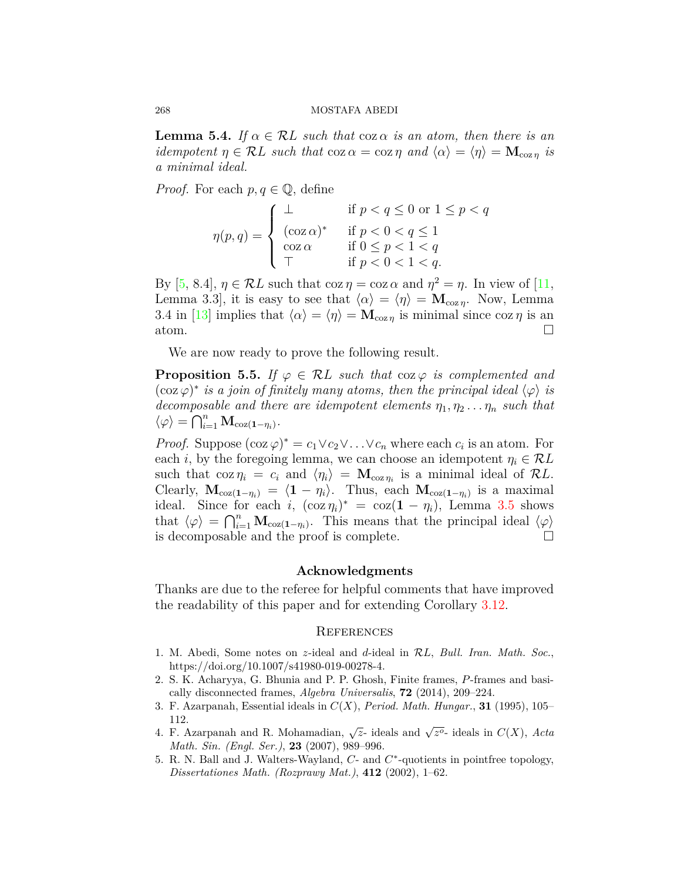**Lemma 5.4.** *If*  $\alpha \in \mathcal{R}$ *L such that* coz  $\alpha$  *is an atom, then there is an idempotent*  $\eta \in \mathcal{R}L$  *such that* coz  $\alpha = \cos \eta$  *and*  $\langle \alpha \rangle = \langle \eta \rangle = \mathbf{M}_{\cos \eta}$  *is a minimal ideal.*

*Proof.* For each  $p, q \in \mathbb{Q}$ , define

$$
\eta(p,q) = \begin{cases}\n\bot & \text{if } p < q \leq 0 \text{ or } 1 \leq p < q \\
(\cos \alpha)^* & \text{if } p < 0 < q \leq 1 \\
\cos \alpha & \text{if } 0 \leq p < 1 < q \\
\top & \text{if } p < 0 < 1 < q.\n\end{cases}
$$

By  $[5, 8.4], \eta \in \mathcal{R}L$  $[5, 8.4], \eta \in \mathcal{R}L$  $[5, 8.4], \eta \in \mathcal{R}L$  such that  $\cos \eta = \cos \alpha$  and  $\eta^2 = \eta$ . In view of  $[11,$ Lemma 3.3, it is easy to see that  $\langle \alpha \rangle = \langle \eta \rangle = \mathbf{M}_{\text{coz}\eta}$ . Now, Lemma 3.4 in [\[13](#page-12-7)] implies that  $\langle \alpha \rangle = \langle \eta \rangle = \mathbf{M}_{\text{coz }n}$  is minimal since  $\cos \eta$  is an atom.  $\Box$ 

We are now ready to prove the following result.

**Proposition 5.5.** *If*  $\varphi \in \mathcal{R}$ *L such that* coz  $\varphi$  *is complemented and*  $(\cos \varphi)^*$  *is a join of finitely many atoms, then the principal ideal*  $\langle \varphi \rangle$  *is decomposable and there are idempotent elements*  $\eta_1, \eta_2 \ldots \eta_n$  *such that*  $\langle \varphi \rangle = \bigcap_{i=1}^{n} \mathbf{M}_{\text{coz}(1-\eta_i)}$ 

*Proof.* Suppose  $(\cos \varphi)^* = c_1 \vee c_2 \vee \ldots \vee c_n$  where each  $c_i$  is an atom. For each *i*, by the foregoing lemma, we can choose an idempotent  $\eta_i \in \mathcal{R}L$ such that  $\cos \eta_i = c_i$  and  $\langle \eta_i \rangle = \mathbf{M}_{\cos \eta_i}$  is a minimal ideal of  $\mathcal{R}L$ . Clearly,  $\mathbf{M}_{\text{coz}(1-\eta_i)} = \langle 1 - \eta_i \rangle$ . Thus, each  $\mathbf{M}_{\text{coz}(1-\eta_i)}$  is a maximal ideal. Since for each *i*,  $(\cos \eta_i)^* = \cos(1 - \eta_i)$ , Lemma [3.5](#page-4-1) shows that  $\langle \varphi \rangle = \bigcap_{i=1}^n \mathbf{M}_{\text{coz}(1-\eta_i)}$ . This means that the principal ideal  $\langle \varphi \rangle$ is decomposable and the proof is complete.  $\Box$ 

## **Acknowledgments**

Thanks are due to the referee for helpful comments that have improved the readability of this paper and for extending Corollary [3.12](#page-6-1).

## **REFERENCES**

- <span id="page-11-1"></span>1. M. Abedi, Some notes on *z*-ideal and *d*-ideal in *RL*, *Bull. Iran. Math. Soc.*, https://doi.org/10.1007/s41980-019-00278-4.
- <span id="page-11-4"></span>2. S. K. Acharyya, G. Bhunia and P. P. Ghosh, Finite frames, *P*-frames and basically disconnected frames, *Algebra Universalis*, **72** (2014), 209–224.
- <span id="page-11-2"></span>3. F. Azarpanah, Essential ideals in *C*(*X*), *Period. Math. Hungar.*, **31** (1995), 105– 112.
- <span id="page-11-0"></span>4. F. Azarpanah and R. Mohamadian,  $\sqrt{z}$ - ideals and  $\sqrt{z^o}$ - ideals in  $C(X)$ , Acta *Math. Sin. (Engl. Ser.)*, **23** (2007), 989–996.
- <span id="page-11-3"></span>5. R. N. Ball and J. Walters-Wayland, *C*- and *C ∗* -quotients in pointfree topology, *Dissertationes Math. (Rozprawy Mat.)*, **412** (2002), 1–62.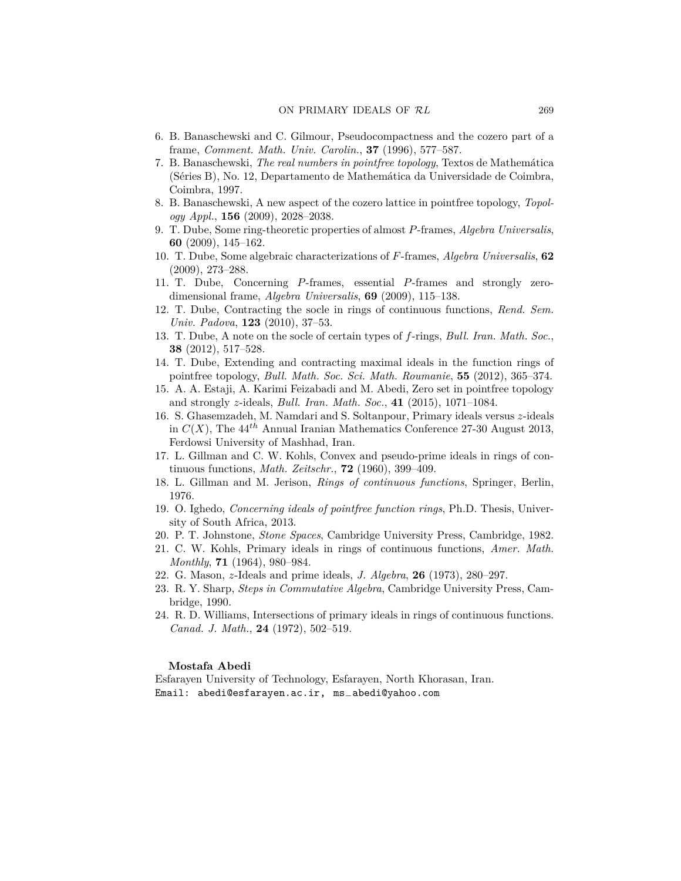- <span id="page-12-11"></span>6. B. Banaschewski and C. Gilmour, Pseudocompactness and the cozero part of a frame, *Comment. Math. Univ. Carolin.*, **37** (1996), 577–587.
- <span id="page-12-10"></span>7. B. Banaschewski, *The real numbers in pointfree topology*, Textos de Mathemática (Séries B), No. 12, Departamento de Mathemática da Universidade de Coimbra, Coimbra, 1997.
- <span id="page-12-15"></span>8. B. Banaschewski, A new aspect of the cozero lattice in pointfree topology, *Topology Appl.*, **156** (2009), 2028–2038.
- <span id="page-12-5"></span>9. T. Dube, Some ring-theoretic properties of almost *P*-frames, *Algebra Universalis*, **60** (2009), 145–162.
- <span id="page-12-14"></span>10. T. Dube, Some algebraic characterizations of *F*-frames, *Algebra Universalis*, **62** (2009), 273–288.
- <span id="page-12-13"></span>11. T. Dube, Concerning *P*-frames, essential *P*-frames and strongly zerodimensional frame, *Algebra Universalis*, **69** (2009), 115–138.
- <span id="page-12-17"></span>12. T. Dube, Contracting the socle in rings of continuous functions, *Rend. Sem. Univ. Padova*, **123** (2010), 37–53.
- <span id="page-12-7"></span>13. T. Dube, A note on the socle of certain types of *f*-rings, *Bull. Iran. Math. Soc.*, **38** (2012), 517–528.
- <span id="page-12-16"></span>14. T. Dube, Extending and contracting maximal ideals in the function rings of pointfree topology, *Bull. Math. Soc. Sci. Math. Roumanie*, **55** (2012), 365–374.
- 15. A. A. Estaji, A. Karimi Feizabadi and M. Abedi, Zero set in pointfree topology and strongly *z*-ideals, *Bull. Iran. Math. Soc.*, **41** (2015), 1071–1084.
- <span id="page-12-1"></span>16. S. Ghasemzadeh, M. Namdari and S. Soltanpour, Primary ideals versus *z*-ideals in  $C(X)$ , The  $44^{th}$  Annual Iranian Mathematics Conference 27-30 August 2013, Ferdowsi University of Mashhad, Iran.
- <span id="page-12-6"></span>17. L. Gillman and C. W. Kohls, Convex and pseudo-prime ideals in rings of continuous functions, *Math. Zeitschr.*, **72** (1960), 399–409.
- <span id="page-12-9"></span>18. L. Gillman and M. Jerison, *Rings of continuous functions*, Springer, Berlin, 1976.
- <span id="page-12-12"></span>19. O. Ighedo, *Concerning ideals of pointfree function rings*, Ph.D. Thesis, University of South Africa, 2013.
- <span id="page-12-8"></span>20. P. T. Johnstone, *Stone Spaces*, Cambridge University Press, Cambridge, 1982.
- <span id="page-12-2"></span>21. C. W. Kohls, Primary ideals in rings of continuous functions, *Amer. Math. Monthly*, **71** (1964), 980–984.
- <span id="page-12-4"></span>22. G. Mason, *z*-Ideals and prime ideals, *J. Algebra*, **26** (1973), 280–297.
- <span id="page-12-0"></span>23. R. Y. Sharp, *Steps in Commutative Algebra*, Cambridge University Press, Cambridge, 1990.
- <span id="page-12-3"></span>24. R. D. Williams, Intersections of primary ideals in rings of continuous functions. *Canad. J. Math.*, **24** (1972), 502–519.

### **Mostafa Abedi**

Esfarayen University of Technology, Esfarayen, North Khorasan, Iran. Email: abedi@esfarayen.ac.ir, ms*−*abedi@yahoo.com